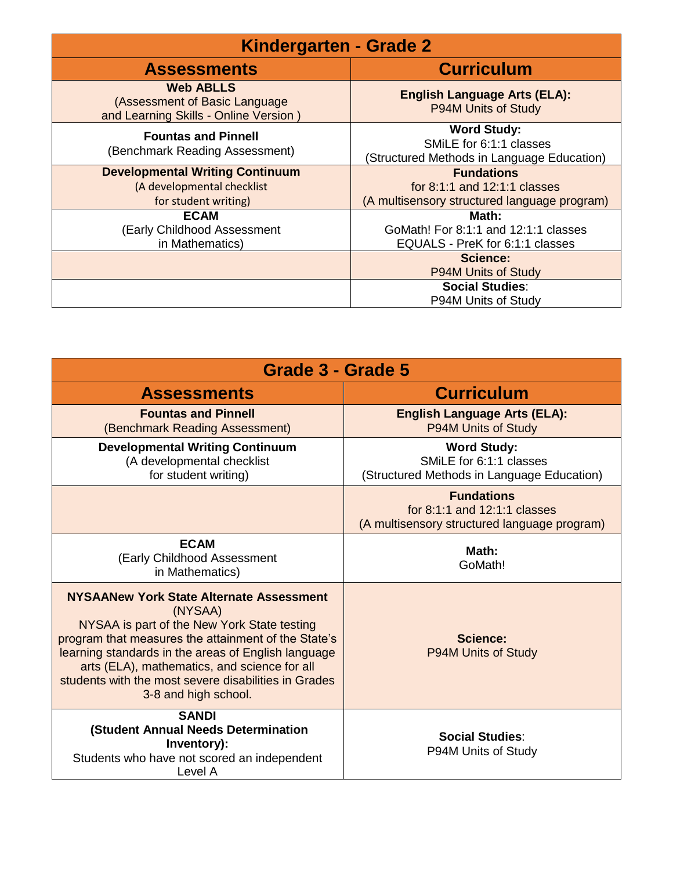| <b>Kindergarten - Grade 2</b>                                                              |                                                                                             |
|--------------------------------------------------------------------------------------------|---------------------------------------------------------------------------------------------|
| <b>Assessments</b>                                                                         | <b>Curriculum</b>                                                                           |
| <b>Web ABLLS</b><br>(Assessment of Basic Language<br>and Learning Skills - Online Version) | <b>English Language Arts (ELA):</b><br>P94M Units of Study                                  |
| <b>Fountas and Pinnell</b><br>(Benchmark Reading Assessment)                               | <b>Word Study:</b><br>SMILE for 6:1:1 classes<br>(Structured Methods in Language Education) |
| <b>Developmental Writing Continuum</b>                                                     | <b>Fundations</b>                                                                           |
| (A developmental checklist                                                                 | for $8:1:1$ and $12:1:1$ classes                                                            |
| for student writing)                                                                       | (A multisensory structured language program)                                                |
| <b>ECAM</b><br><b>Early Childhood Assessment</b><br>in Mathematics)                        | Math:<br>GoMath! For 8:1:1 and 12:1:1 classes<br>EQUALS - PreK for 6:1:1 classes            |
|                                                                                            | Science:                                                                                    |
|                                                                                            | <b>P94M Units of Study</b>                                                                  |
|                                                                                            | <b>Social Studies:</b>                                                                      |
|                                                                                            | P94M Units of Study                                                                         |

| Grade 3 - Grade 5                                                                                                                                                                                                                                                                                                                                       |                                                                                                   |  |
|---------------------------------------------------------------------------------------------------------------------------------------------------------------------------------------------------------------------------------------------------------------------------------------------------------------------------------------------------------|---------------------------------------------------------------------------------------------------|--|
| <b>Assessments</b>                                                                                                                                                                                                                                                                                                                                      | <b>Curriculum</b>                                                                                 |  |
| <b>Fountas and Pinnell</b><br>(Benchmark Reading Assessment)                                                                                                                                                                                                                                                                                            | <b>English Language Arts (ELA):</b><br>P94M Units of Study                                        |  |
| <b>Developmental Writing Continuum</b><br>(A developmental checklist<br>for student writing)                                                                                                                                                                                                                                                            | <b>Word Study:</b><br>SMILE for 6:1:1 classes<br>(Structured Methods in Language Education)       |  |
|                                                                                                                                                                                                                                                                                                                                                         | <b>Fundations</b><br>for 8:1:1 and 12:1:1 classes<br>(A multisensory structured language program) |  |
| <b>ECAM</b><br>(Early Childhood Assessment<br>in Mathematics)                                                                                                                                                                                                                                                                                           | Math:<br>GoMath!                                                                                  |  |
| <b>NYSAANew York State Alternate Assessment</b><br>(NYSAA)<br>NYSAA is part of the New York State testing<br>program that measures the attainment of the State's<br>learning standards in the areas of English language<br>arts (ELA), mathematics, and science for all<br>students with the most severe disabilities in Grades<br>3-8 and high school. | Science:<br>P94M Units of Study                                                                   |  |
| <b>SANDI</b><br>(Student Annual Needs Determination<br>Inventory):<br>Students who have not scored an independent<br>Level A                                                                                                                                                                                                                            | Social Studies:<br>P94M Units of Study                                                            |  |